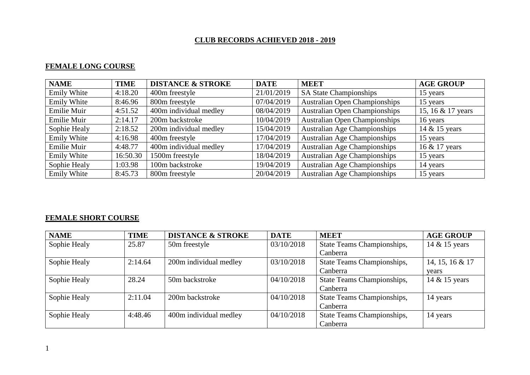### **CLUB RECORDS ACHIEVED 2018 - 2019**

# **FEMALE LONG COURSE**

| <b>NAME</b>        | <b>TIME</b> | <b>DISTANCE &amp; STROKE</b> | <b>DATE</b> | <b>MEET</b>                          | <b>AGE GROUP</b>  |
|--------------------|-------------|------------------------------|-------------|--------------------------------------|-------------------|
| Emily White        | 4:18.20     | 400m freestyle               | 21/01/2019  | <b>SA State Championships</b>        | 15 years          |
| Emily White        | 8:46.96     | 800m freestyle               | 07/04/2019  | <b>Australian Open Championships</b> | 15 years          |
| Emilie Muir        | 4:51.52     | 400m individual medley       | 08/04/2019  | <b>Australian Open Championships</b> | 15, 16 & 17 years |
| Emilie Muir        | 2:14.17     | 200m backstroke              | 10/04/2019  | <b>Australian Open Championships</b> | 16 years          |
| Sophie Healy       | 2:18.52     | 200m individual medley       | 15/04/2019  | <b>Australian Age Championships</b>  | 14 & 15 years     |
| Emily White        | 4:16.98     | 400m freestyle               | 17/04/2019  | <b>Australian Age Championships</b>  | 15 years          |
| Emilie Muir        | 4:48.77     | 400m individual medley       | 17/04/2019  | <b>Australian Age Championships</b>  | 16 & 17 years     |
| Emily White        | 16:50.30    | 1500m freestyle              | 18/04/2019  | <b>Australian Age Championships</b>  | 15 years          |
| Sophie Healy       | 1:03.98     | 100m backstroke              | 19/04/2019  | <b>Australian Age Championships</b>  | 14 years          |
| <b>Emily White</b> | 8:45.73     | 800m freestyle               | 20/04/2019  | <b>Australian Age Championships</b>  | 15 years          |

## **FEMALE SHORT COURSE**

| <b>NAME</b>  | <b>TIME</b> | <b>DISTANCE &amp; STROKE</b> | <b>DATE</b> | <b>MEET</b>                | <b>AGE GROUP</b> |
|--------------|-------------|------------------------------|-------------|----------------------------|------------------|
| Sophie Healy | 25.87       | 50m freestyle                | 03/10/2018  | State Teams Championships, | 14 & 15 years    |
|              |             |                              |             | Canberra                   |                  |
| Sophie Healy | 2:14.64     | 200m individual medley       | 03/10/2018  | State Teams Championships, | 14, 15, 16 & 17  |
|              |             |                              |             | Canberra                   | years            |
| Sophie Healy | 28.24       | 50m backstroke               | 04/10/2018  | State Teams Championships, | 14 & 15 years    |
|              |             |                              |             | Canberra                   |                  |
| Sophie Healy | 2:11.04     | 200m backstroke              | 04/10/2018  | State Teams Championships, | 14 years         |
|              |             |                              |             | Canberra                   |                  |
| Sophie Healy | 4:48.46     | 400m individual medley       | 04/10/2018  | State Teams Championships, | 14 years         |
|              |             |                              |             | Canberra                   |                  |